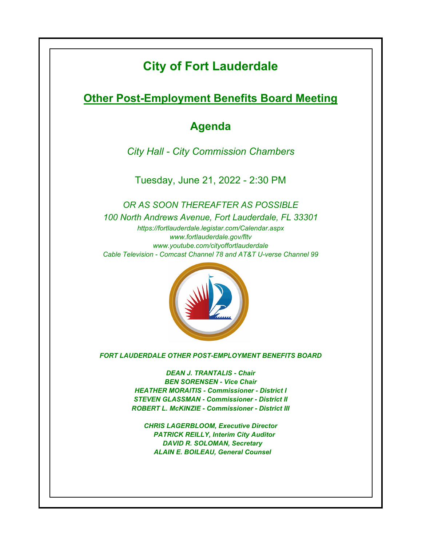# **City of Fort Lauderdale**

**Other Post-Employment Benefits Board Meeting**

# **Agenda**

*City Hall - City Commission Chambers*

Tuesday, June 21, 2022 - 2:30 PM

*https://fortlauderdale.legistar.com/Calendar.aspx www.fortlauderdale.gov/fltv www.youtube.com/cityoffortlauderdale Cable Television - Comcast Channel 78 and AT&T U-verse Channel 99 OR AS SOON THEREAFTER AS POSSIBLE 100 North Andrews Avenue, Fort Lauderdale, FL 33301*



*FORT LAUDERDALE OTHER POST-EMPLOYMENT BENEFITS BOARD*

*DEAN J. TRANTALIS - Chair BEN SORENSEN - Vice Chair HEATHER MORAITIS - Commissioner - District I STEVEN GLASSMAN - Commissioner - District II ROBERT L. McKINZIE - Commissioner - District III*

*CHRIS LAGERBLOOM, Executive Director PATRICK REILLY, Interim City Auditor DAVID R. SOLOMAN, Secretary ALAIN E. BOILEAU, General Counsel*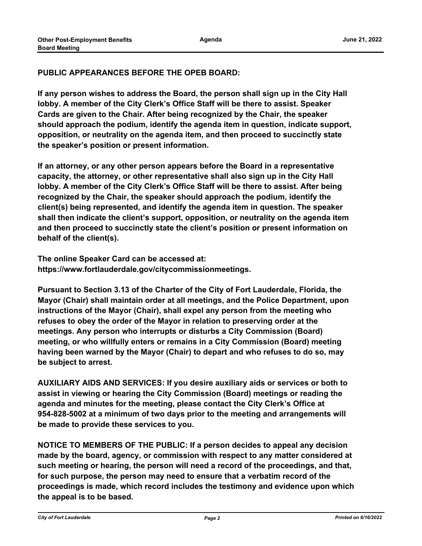## **PUBLIC APPEARANCES BEFORE THE OPEB BOARD:**

**If any person wishes to address the Board, the person shall sign up in the City Hall lobby. A member of the City Clerk's Office Staff will be there to assist. Speaker Cards are given to the Chair. After being recognized by the Chair, the speaker should approach the podium, identify the agenda item in question, indicate support, opposition, or neutrality on the agenda item, and then proceed to succinctly state the speaker's position or present information.**

**If an attorney, or any other person appears before the Board in a representative capacity, the attorney, or other representative shall also sign up in the City Hall lobby. A member of the City Clerk's Office Staff will be there to assist. After being recognized by the Chair, the speaker should approach the podium, identify the client(s) being represented, and identify the agenda item in question. The speaker shall then indicate the client's support, opposition, or neutrality on the agenda item and then proceed to succinctly state the client's position or present information on behalf of the client(s).**

**The online Speaker Card can be accessed at: https://www.fortlauderdale.gov/citycommissionmeetings.**

**Pursuant to Section 3.13 of the Charter of the City of Fort Lauderdale, Florida, the Mayor (Chair) shall maintain order at all meetings, and the Police Department, upon instructions of the Mayor (Chair), shall expel any person from the meeting who refuses to obey the order of the Mayor in relation to preserving order at the meetings. Any person who interrupts or disturbs a City Commission (Board) meeting, or who willfully enters or remains in a City Commission (Board) meeting having been warned by the Mayor (Chair) to depart and who refuses to do so, may be subject to arrest.**

**AUXILIARY AIDS AND SERVICES: If you desire auxiliary aids or services or both to assist in viewing or hearing the City Commission (Board) meetings or reading the agenda and minutes for the meeting, please contact the City Clerk's Office at 954-828-5002 at a minimum of two days prior to the meeting and arrangements will be made to provide these services to you.**

**NOTICE TO MEMBERS OF THE PUBLIC: If a person decides to appeal any decision made by the board, agency, or commission with respect to any matter considered at such meeting or hearing, the person will need a record of the proceedings, and that, for such purpose, the person may need to ensure that a verbatim record of the proceedings is made, which record includes the testimony and evidence upon which the appeal is to be based.**